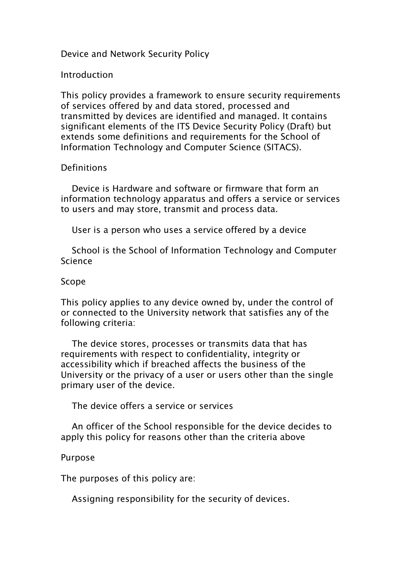# Device and Network Security Policy

## Introduction

This policy provides a framework to ensure security requirements of services offered by and data stored, processed and transmitted by devices are identified and managed. It contains significant elements of the ITS Device Security Policy (Draft) but extends some definitions and requirements for the School of Information Technology and Computer Science (SITACS).

#### **Definitions**

Device is Hardware and software or firmware that form an information technology apparatus and offers a service or services to users and may store, transmit and process data.

User is a person who uses a service offered by a device

School is the School of Information Technology and Computer Science

## Scope

This policy applies to any device owned by, under the control of or connected to the University network that satisfies any of the following criteria:

The device stores, processes or transmits data that has requirements with respect to confidentiality, integrity or accessibility which if breached affects the business of the University or the privacy of a user or users other than the single primary user of the device.

The device offers a service or services

An officer of the School responsible for the device decides to apply this policy for reasons other than the criteria above

## Purpose

The purposes of this policy are:

Assigning responsibility for the security of devices.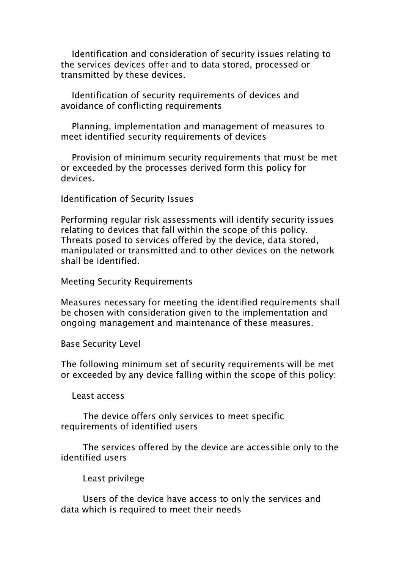Identification and consideration of security issues relating to the services devices offer and to data stored, processed or transmitted by these devices.

Identification of security requirements of devices and avoidance of conflicting requirements

Planning, implementation and management of measures to meet identified security requirements of devices

Provision of minimum security requirements that must be met or exceeded by the processes derived form this policy for devices.

Identification of Security Issues

Performing regular risk assessments will identify security issues relating to devices that fall within the scope of this policy. Threats posed to services offered by the device, data stored, manipulated or transmitted and to other devices on the network shall be identified.

Meeting Security Requirements

Measures necessary for meeting the identified requirements shall be chosen with consideration given to the implementation and ongoing management and maintenance of these measures.

Base Security Level

The following minimum set of security requirements will be met or exceeded by any device falling within the scope of this policy:

Least access

The device offers only services to meet specific requirements of identified users

The services offered by the device are accessible only to the identified users

Least privilege

Users of the device have access to only the services and data which is required to meet their needs